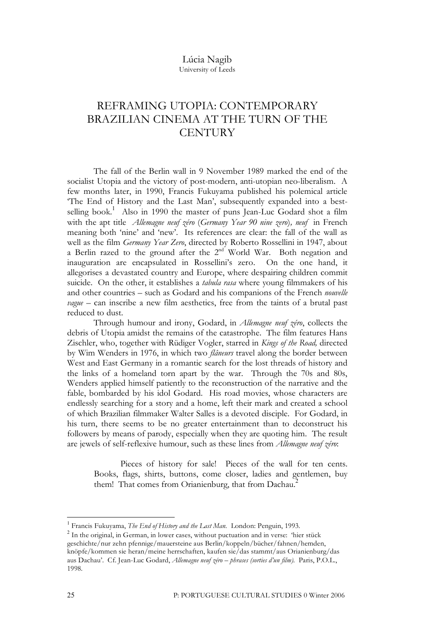## Lúcia Nagib University of Leeds

# REFRAMING UTOPIA: CONTEMPORARY BRAZILIAN CINEMA AT THE TURN OF THE **CENTURY**

The fall of the Berlin wall in 9 November 1989 marked the end of the socialist Utopia and the victory of post-modern, anti-utopian neo-liberalism. A few months later, in 1990, Francis Fukuyama published his polemical article 'The End of History and the Last Man', subsequently expanded into a bestselling book.<sup>1</sup> Also in 1990 the master of puns Jean-Luc Godard shot a film with the apt title *Allemagne neuf zéro* (*Germany Year 90 nine zero*)*, neuf* in French meaning both 'nine' and 'new'. Its references are clear: the fall of the wall as well as the film *Germany Year Zero*, directed by Roberto Rossellini in 1947, about a Berlin razed to the ground after the 2<sup>nd</sup> World War. Both negation and inauguration are encapsulated in Rossellini's zero. On the one hand, it allegorises a devastated country and Europe, where despairing children commit suicide. On the other, it establishes a *tabula rasa* where young filmmakers of his and other countries – such as Godard and his companions of the French *nouvelle vague* – can inscribe a new film aesthetics, free from the taints of a brutal past reduced to dust.

Through humour and irony, Godard, in *Allemagne neuf zéro*, collects the debris of Utopia amidst the remains of the catastrophe. The film features Hans Zischler, who, together with Rüdiger Vogler, starred in *Kings of the Road,* directed by Wim Wenders in 1976, in which two *flâneurs* travel along the border between West and East Germany in a romantic search for the lost threads of history and the links of a homeland torn apart by the war. Through the 70s and 80s, Wenders applied himself patiently to the reconstruction of the narrative and the fable, bombarded by his idol Godard. His road movies, whose characters are endlessly searching for a story and a home, left their mark and created a school of which Brazilian filmmaker Walter Salles is a devoted disciple. For Godard, in his turn, there seems to be no greater entertainment than to deconstruct his followers by means of parody, especially when they are quoting him. The result are jewels of self-reflexive humour, such as these lines from *Allemagne neuf zéro*:

Pieces of history for sale! Pieces of the wall for ten cents. Books, flags, shirts, buttons, come closer, ladies and gentlemen, buy them! That comes from Orianienburg, that from Dachau.<sup>2</sup>

<sup>&</sup>lt;sup>1</sup> Francis Fukuyama, *The End of History and the Last Man*. London: Penguin, 1993.<br><sup>2</sup> In the original, in German, in lower cases, without puctuation and in verse: 'hier stück geschichte/nur zehn pfennige/mauersteine aus Berlin/koppeln/bücher/fahnen/hemden, knöpfe/kommen sie heran/meine herrschaften, kaufen sie/das stammt/aus Orianienburg/das aus Dachau'. Cf. Jean-Luc Godard, *Allemagne neuf zéro – phrases (sorties d'un film).* Paris, P.O.L., 1998.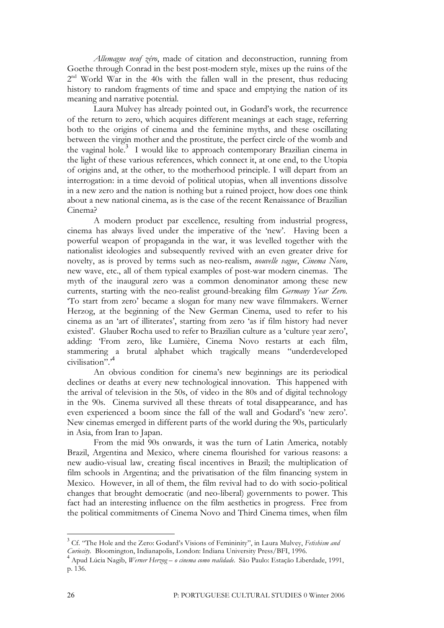*Allemagne neuf zéro*, made of citation and deconstruction, running from Goethe through Conrad in the best post-modern style, mixes up the ruins of the  $2<sup>nd</sup>$  World War in the 40s with the fallen wall in the present, thus reducing history to random fragments of time and space and emptying the nation of its meaning and narrative potential.

Laura Mulvey has already pointed out, in Godard's work, the recurrence of the return to zero, which acquires different meanings at each stage, referring both to the origins of cinema and the feminine myths, and these oscillating between the virgin mother and the prostitute, the perfect circle of the womb and the vaginal hole. <sup>3</sup> I would like to approach contemporary Brazilian cinema in the light of these various references, which connect it, at one end, to the Utopia of origins and, at the other, to the motherhood principle. I will depart from an interrogation: in a time devoid of political utopias, when all inventions dissolve in a new zero and the nation is nothing but a ruined project, how does one think about a new national cinema, as is the case of the recent Renaissance of Brazilian Cinema?

A modern product par excellence, resulting from industrial progress, cinema has always lived under the imperative of the 'new'. Having been a powerful weapon of propaganda in the war, it was levelled together with the nationalist ideologies and subsequently revived with an even greater drive for novelty, as is proved by terms such as neo-realism, *nouvelle vague*, *Cinema Novo*, new wave, etc., all of them typical examples of post-war modern cinemas. The myth of the inaugural zero was a common denominator among these new currents, starting with the neo-realist ground-breaking film *Germany Year Zero.* 'To start from zero' became a slogan for many new wave filmmakers. Werner Herzog, at the beginning of the New German Cinema, used to refer to his cinema as an 'art of illiterates', starting from zero 'as if film history had never existed'. Glauber Rocha used to refer to Brazilian culture as a 'culture year zero', adding: 'From zero, like Lumière, Cinema Novo restarts at each film, stammering a brutal alphabet which tragically means "underdeveloped civilisation".' 4

An obvious condition for cinema's new beginnings are its periodical declines or deaths at every new technological innovation. This happened with the arrival of television in the 50s, of video in the 80s and of digital technology in the 90s. Cinema survived all these threats of total disappearance, and has even experienced a boom since the fall of the wall and Godard's 'new zero'. New cinemas emerged in different parts of the world during the 90s, particularly in Asia, from Iran to Japan.

From the mid 90s onwards, it was the turn of Latin America, notably Brazil, Argentina and Mexico, where cinema flourished for various reasons: a new audio-visual law, creating fiscal incentives in Brazil; the multiplication of film schools in Argentina; and the privatisation of the film financing system in Mexico. However, in all of them, the film revival had to do with socio-political changes that brought democratic (and neo-liberal) governments to power. This fact had an interesting influence on the film aesthetics in progress. Free from the political commitments of Cinema Novo and Third Cinema times, when film

 <sup>3</sup> Cf. "The Hole and the Zero: Godard's Visions of Femininity", in Laura Mulvey, *Fetishism and* Curiosity. Bloomington, Indianapolis, London: Indiana University Press/BFI, 1996.<br><sup>4</sup> Apud Lúcia Nagib, *Werner Herzog – o cinema como realidade*. São Paulo: Estação Liberdade, 1991,

p. 136.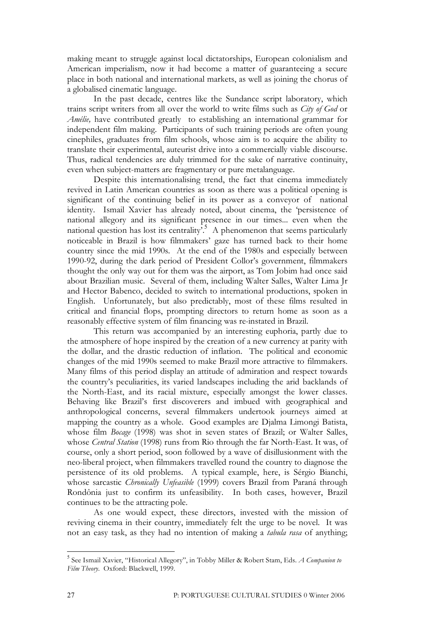making meant to struggle against local dictatorships, European colonialism and American imperialism, now it had become a matter of guaranteeing a secure place in both national and international markets, as well as joining the chorus of a globalised cinematic language.

In the past decade, centres like the Sundance script laboratory, which trains script writers from all over the world to write films such as *City of God* or *Amélie,* have contributed greatly to establishing an international grammar for independent film making. Participants of such training periods are often young cinephiles, graduates from film schools, whose aim is to acquire the ability to translate their experimental, auteurist drive into a commercially viable discourse. Thus, radical tendencies are duly trimmed for the sake of narrative continuity, even when subject-matters are fragmentary or pure metalanguage.

Despite this internationalising trend, the fact that cinema immediately revived in Latin American countries as soon as there was a political opening is significant of the continuing belief in its power as a conveyor of national identity. Ismail Xavier has already noted, about cinema, the 'persistence of national allegory and its significant presence in our times... even when the national question has lost its centrality<sup>5</sup>. A phenomenon that seems particularly noticeable in Brazil is how filmmakers' gaze has turned back to their home country since the mid 1990s. At the end of the 1980s and especially between 1990-92, during the dark period of President Collor's government, filmmakers thought the only way out for them was the airport, as Tom Jobim had once said about Brazilian music. Several of them, including Walter Salles, Walter Lima Jr and Hector Babenco, decided to switch to international productions, spoken in English. Unfortunately, but also predictably, most of these films resulted in critical and financial flops, prompting directors to return home as soon as a reasonably effective system of film financing was re-instated in Brazil.

This return was accompanied by an interesting euphoria, partly due to the atmosphere of hope inspired by the creation of a new currency at parity with the dollar, and the drastic reduction of inflation. The political and economic changes of the mid 1990s seemed to make Brazil more attractive to filmmakers. Many films of this period display an attitude of admiration and respect towards the country's peculiarities, its varied landscapes including the arid backlands of the North-East, and its racial mixture, especially amongst the lower classes. Behaving like Brazil's first discoverers and imbued with geographical and anthropological concerns, several filmmakers undertook journeys aimed at mapping the country as a whole. Good examples are Djalma Limongi Batista, whose film *Bocage* (1998) was shot in seven states of Brazil; or Walter Salles, whose *Central Station* (1998) runs from Rio through the far North-East. It was, of course, only a short period, soon followed by a wave of disillusionment with the neo-liberal project, when filmmakers travelled round the country to diagnose the persistence of its old problems. A typical example, here, is Sérgio Bianchi, whose sarcastic *Chronically Unfeasible* (1999) covers Brazil from Paraná through Rondônia just to confirm its unfeasibility. In both cases, however, Brazil continues to be the attracting pole.

As one would expect, these directors, invested with the mission of reviving cinema in their country, immediately felt the urge to be novel. It was not an easy task, as they had no intention of making a *tabula rasa* of anything;

 <sup>5</sup> See Ismail Xavier, "Historical Allegory", in Tobby Miller & Robert Stam, Eds. *<sup>A</sup> Companion to Film Theory*. Oxford: Blackwell, 1999.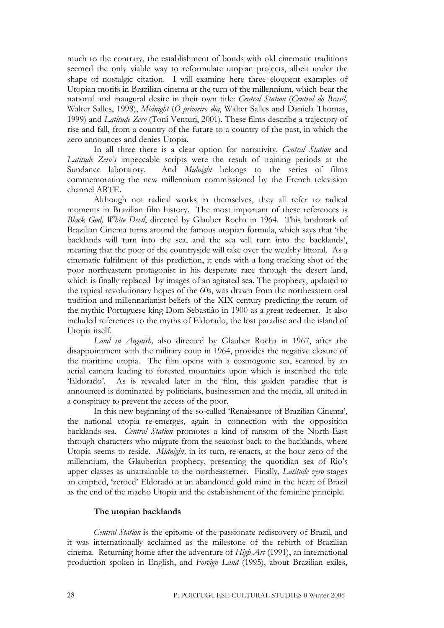much to the contrary, the establishment of bonds with old cinematic traditions seemed the only viable way to reformulate utopian projects, albeit under the shape of nostalgic citation. I will examine here three eloquent examples of Utopian motifs in Brazilian cinema at the turn of the millennium, which bear the national and inaugural desire in their own title: *Central Station* (*Central do Brasil,* Walter Salles, 1998), *Midnight* (*O primeiro dia*, Walter Salles and Daniela Thomas, 1999) and *Latitude Zero* (Toni Venturi, 2001). These films describe a trajectory of rise and fall, from a country of the future to a country of the past, in which the zero announces and denies Utopia.

In all three there is a clear option for narrativity. *Central Station* and *Latitude Zero's* impeccable scripts were the result of training periods at the Sundance laboratory. And *Midnight* belongs to the series of films commemorating the new millennium commissioned by the French television channel ARTE.

Although not radical works in themselves, they all refer to radical moments in Brazilian film history. The most important of these references is *Black God, White Devil*, directed by Glauber Rocha in 1964. This landmark of Brazilian Cinema turns around the famous utopian formula, which says that 'the backlands will turn into the sea, and the sea will turn into the backlands', meaning that the poor of the countryside will take over the wealthy littoral. As a cinematic fulfilment of this prediction, it ends with a long tracking shot of the poor northeastern protagonist in his desperate race through the desert land, which is finally replaced by images of an agitated sea. The prophecy, updated to the typical revolutionary hopes of the 60s, was drawn from the northeastern oral tradition and millennarianist beliefs of the XIX century predicting the return of the mythic Portuguese king Dom Sebastião in 1900 as a great redeemer. It also included references to the myths of Eldorado, the lost paradise and the island of Utopia itself.

*Land in Anguish,* also directed by Glauber Rocha in 1967, after the disappointment with the military coup in 1964, provides the negative closure of the maritime utopia. The film opens with a cosmogonic sea, scanned by an aerial camera leading to forested mountains upon which is inscribed the title 'Eldorado'. As is revealed later in the film, this golden paradise that is announced is dominated by politicians, businessmen and the media, all united in a conspiracy to prevent the access of the poor.

In this new beginning of the so-called 'Renaissance of Brazilian Cinema', the national utopia re-emerges, again in connection with the opposition backlands-sea. *Central Station* promotes a kind of ransom of the North-East through characters who migrate from the seacoast back to the backlands, where Utopia seems to reside. *Midnight,* in its turn, re-enacts, at the hour zero of the millennium, the Glauberian prophecy, presenting the quotidian sea of Rio's upper classes as unattainable to the northeasterner. Finally, *Latitude zero* stages an emptied, 'zeroed' Eldorado at an abandoned gold mine in the heart of Brazil as the end of the macho Utopia and the establishment of the feminine principle.

## **The utopian backlands**

*Central Station* is the epitome of the passionate rediscovery of Brazil, and it was internationally acclaimed as the milestone of the rebirth of Brazilian cinema. Returning home after the adventure of *High Art* (1991), an international production spoken in English, and *Foreign Land* (1995), about Brazilian exiles,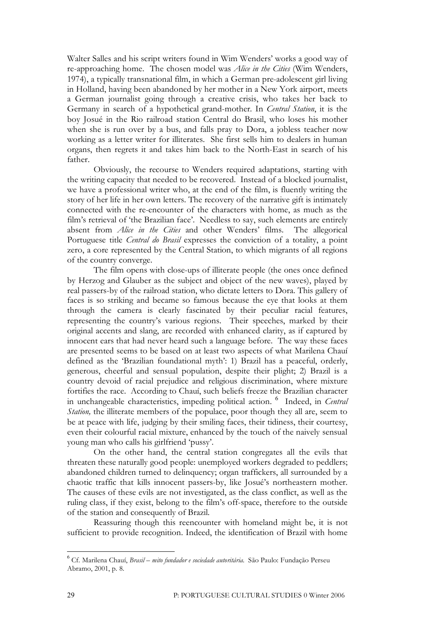Walter Salles and his script writers found in Wim Wenders' works a good way of re-approaching home. The chosen model was *Alice in the Cities* (Wim Wenders, 1974), a typically transnational film, in which a German pre-adolescent girl living in Holland, having been abandoned by her mother in a New York airport, meets a German journalist going through a creative crisis, who takes her back to Germany in search of a hypothetical grand-mother. In *Central Station*, it is the boy Josué in the Rio railroad station Central do Brasil, who loses his mother when she is run over by a bus, and falls pray to Dora, a jobless teacher now working as a letter writer for illiterates. She first sells him to dealers in human organs, then regrets it and takes him back to the North-East in search of his father.

Obviously, the recourse to Wenders required adaptations, starting with the writing capacity that needed to be recovered. Instead of a blocked journalist, we have a professional writer who, at the end of the film, is fluently writing the story of her life in her own letters. The recovery of the narrative gift is intimately connected with the re-encounter of the characters with home, as much as the film's retrieval of 'the Brazilian face'. Needless to say, such elements are entirely absent from *Alice in the Cities* and other Wenders' films. The allegorical Portuguese title *Central do Brasil* expresses the conviction of a totality, a point zero, a core represented by the Central Station, to which migrants of all regions of the country converge.

The film opens with close-ups of illiterate people (the ones once defined by Herzog and Glauber as the subject and object of the new waves), played by real passers-by of the railroad station, who dictate letters to Dora. This gallery of faces is so striking and became so famous because the eye that looks at them through the camera is clearly fascinated by their peculiar racial features, representing the country's various regions. Their speeches, marked by their original accents and slang, are recorded with enhanced clarity, as if captured by innocent ears that had never heard such a language before. The way these faces are presented seems to be based on at least two aspects of what Marilena Chauí defined as the 'Brazilian foundational myth': 1) Brazil has a peaceful, orderly, generous, cheerful and sensual population, despite their plight; 2) Brazil is a country devoid of racial prejudice and religious discrimination, where mixture fortifies the race. According to Chauí, such beliefs freeze the Brazilian character in unchangeable characteristics, impeding political action. <sup>6</sup> Indeed, in *Central Station*, the illiterate members of the populace, poor though they all are, seem to be at peace with life, judging by their smiling faces, their tidiness, their courtesy, even their colourful racial mixture, enhanced by the touch of the naively sensual young man who calls his girlfriend 'pussy'.

On the other hand, the central station congregates all the evils that threaten these naturally good people: unemployed workers degraded to peddlers; abandoned children turned to delinquency; organ traffickers, all surrounded by a chaotic traffic that kills innocent passers-by, like Josué's northeastern mother. The causes of these evils are not investigated, as the class conflict, as well as the ruling class, if they exist, belong to the film's off-space, therefore to the outside of the station and consequently of Brazil.

Reassuring though this reencounter with homeland might be, it is not sufficient to provide recognition. Indeed, the identification of Brazil with home

 <sup>6</sup> Cf. Marilena Chauí, *Brasil – mito fundador <sup>e</sup> sociedade autoritária.* São Paulo: Fundação Perseu Abramo, 2001, p. 8.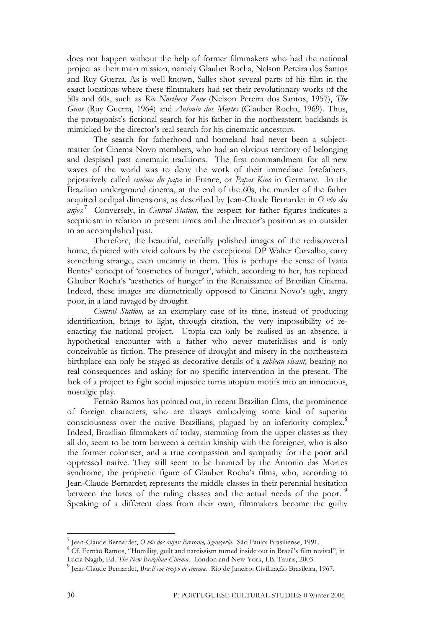does not happen without the help of former filmmakers who had the national project as their main mission, namely Glauber Rocha, Nelson Pereira dos Santos and Ruy Guerra. As is well known, Salles shot several parts of his film in the exact locations where these filmmakers had set their revolutionary works of the 50s and 60s, such as *Rio Northern Zone* (Nelson Pereira dos Santos, 1957), *The Guns* (Ruy Guerra, 1964) and *Antonio das Mortes* (Glauber Rocha, 1969). Thus, the protagonist's fictional search for his father in the northeastern backlands is mimicked by the director's real search for his cinematic ancestors.

The search for fatherhood and homeland had never been a subjectmatter for Cinema Novo members, who had an obvious territory of belonging and despised past cinematic traditions. The first commandment for all new waves of the world was to deny the work of their immediate forefathers, pejoratively called *cinéma du papa* in France, or *Papas Kino* in Germany. In the Brazilian underground cinema, at the end of the 60s, the murder of the father acquired oedipal dimensions, as described by Jean-Claude Bernardet in *O vôo dos anjos.* <sup>7</sup> Conversely, in *Central Station,* the respect for father figures indicates a scepticism in relation to present times and the director's position as an outsider to an accomplished past.

Therefore, the beautiful, carefully polished images of the rediscovered home, depicted with vivid colours by the exceptional DP Walter Carvalho, carry something strange, even uncanny in them. This is perhaps the sense of Ivana Bentes' concept of 'cosmetics of hunger', which, according to her, has replaced Glauber Rocha's 'aesthetics of hunger' in the Renaissance of Brazilian Cinema. Indeed, these images are diametrically opposed to Cinema Novo's ugly, angry poor, in a land ravaged by drought.

*Central Station,* as an exemplary case of its time, instead of producing identification, brings to light, through citation, the very impossibility of reenacting the national project. Utopia can only be realised as an absence, a hypothetical encounter with a father who never materialises and is only conceivable as fiction. The presence of drought and misery in the northeastern birthplace can only be staged as decorative details of a *tableau vivant,* bearing no real consequences and asking for no specific intervention in the present. The lack of a project to fight social injustice turns utopian motifs into an innocuous, nostalgic play.

Fernão Ramos has pointed out, in recent Brazilian films, the prominence of foreign characters, who are always embodying some kind of superior consciousness over the native Brazilians, plagued by an inferiority complex. 8 Indeed, Brazilian filmmakers of today, stemming from the upper classes as they all do, seem to be torn between a certain kinship with the foreigner, who is also the former coloniser, and a true compassion and sympathy for the poor and oppressed native. They still seem to be haunted by the Antonio das Mortes syndrome, the prophetic figure of Glauber Rocha's films, who, according to Jean-Claude Bernardet*,*represents the middle classes in their perennial hesitation between the lures of the ruling classes and the actual needs of the poor.<sup>9</sup> Speaking of a different class from their own, filmmakers become the guilty

<sup>&</sup>lt;sup>7</sup> Jean-Claude Bernardet, O vôo dos anjos: Bressane, Sganzerla. São Paulo: Brasiliense, 1991.<br><sup>8</sup> Cf. Fernão Ramos, "Humility, guilt and narcissism turned inside out in Brazil's film revival", in

Lúcia Nagib, Ed. The New Brazilian Cinema. London and New York, I.B. Tauris, 2003.<br><sup>9</sup> Jean-Claude Bernardet, Brasil em tempo de cinema. Rio de Janeiro: Civilização Brasileira, 1967.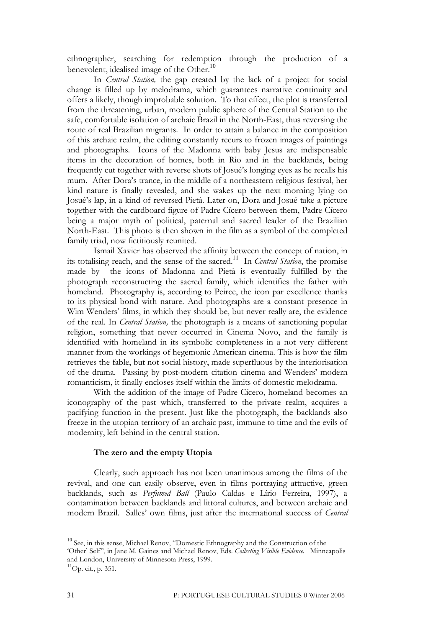ethnographer, searching for redemption through the production of a benevolent, idealised image of the Other.<sup>10</sup>

In *Central Station,* the gap created by the lack of a project for social change is filled up by melodrama, which guarantees narrative continuity and offers a likely, though improbable solution. To that effect, the plot is transferred from the threatening, urban, modern public sphere of the Central Station to the safe, comfortable isolation of archaic Brazil in the North-East, thus reversing the route of real Brazilian migrants. In order to attain a balance in the composition of this archaic realm, the editing constantly recurs to frozen images of paintings and photographs. Icons of the Madonna with baby Jesus are indispensable items in the decoration of homes, both in Rio and in the backlands, being frequently cut together with reverse shots of Josué's longing eyes as he recalls his mum. After Dora's trance, in the middle of a northeastern religious festival, her kind nature is finally revealed, and she wakes up the next morning lying on Josué's lap, in a kind of reversed Pietà. Later on, Dora and Josué take a picture together with the cardboard figure of Padre Cícero between them, Padre Cícero being a major myth of political, paternal and sacred leader of the Brazilian North-East. This photo is then shown in the film as a symbol of the completed family triad, now fictitiously reunited.

Ismail Xavier has observed the affinity between the concept of nation, in its totalising reach, and the sense of the sacred.<sup>11</sup> In *Central Station*, the promise made by the icons of Madonna and Pietà is eventually fulfilled by the photograph reconstructing the sacred family, which identifies the father with homeland. Photography is, according to Peirce, the icon par excellence thanks to its physical bond with nature. And photographs are a constant presence in Wim Wenders' films, in which they should be, but never really are, the evidence of the real. In *Central Station,* the photograph is a means of sanctioning popular religion, something that never occurred in Cinema Novo, and the family is identified with homeland in its symbolic completeness in a not very different manner from the workings of hegemonic American cinema. This is how the film retrieves the fable, but not social history, made superfluous by the interiorisation of the drama. Passing by post-modern citation cinema and Wenders' modern romanticism, it finally encloses itself within the limits of domestic melodrama.

With the addition of the image of Padre Cícero, homeland becomes an iconography of the past which, transferred to the private realm, acquires a pacifying function in the present. Just like the photograph, the backlands also freeze in the utopian territory of an archaic past, immune to time and the evils of modernity, left behind in the central station.

## **The zero and the empty Utopia**

Clearly, such approach has not been unanimous among the films of the revival, and one can easily observe, even in films portraying attractive, green backlands, such as *Perfumed Ball* (Paulo Caldas e Lírio Ferreira, 1997), a contamination between backlands and littoral cultures, and between archaic and modern Brazil. Salles' own films, just after the international success of *Central*

<sup>&</sup>lt;sup>10</sup> See, in this sense, Michael Renov, "Domestic Ethnography and the Construction of the 'Other' Self", in Jane M. Gaines and Michael Renov, Eds. *Collecting Visible Evidence*. Minneapolis and London, University of Minnesota Press, 1999.

 ${}^{11}$ Op. cit., p. 351.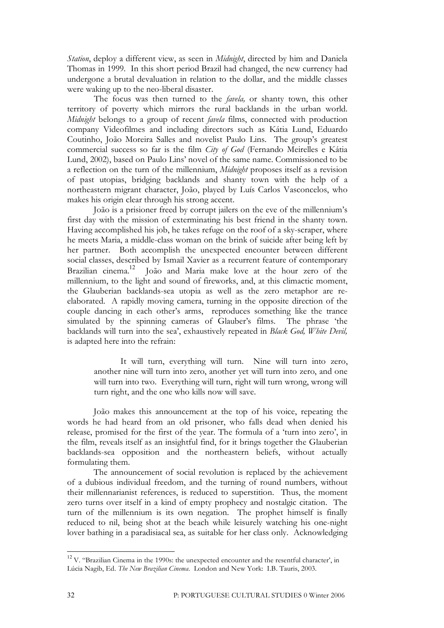*Station*, deploy a different view, as seen in *Midnight*, directed by him and Daniela Thomas in 1999. In this short period Brazil had changed, the new currency had undergone a brutal devaluation in relation to the dollar, and the middle classes were waking up to the neo-liberal disaster.

The focus was then turned to the *favela,* or shanty town, this other territory of poverty which mirrors the rural backlands in the urban world. *Midnight* belongs to a group of recent *favela* films, connected with production company Videofilmes and including directors such as Kátia Lund, Eduardo Coutinho, João Moreira Salles and novelist Paulo Lins. The group's greatest commercial success so far is the film *City of God* (Fernando Meirelles e Kátia Lund, 2002), based on Paulo Lins' novel of the same name. Commissioned to be a reflection on the turn of the millennium, *Midnight* proposes itself as a revision of past utopias, bridging backlands and shanty town with the help of a northeastern migrant character, João, played by Luís Carlos Vasconcelos, who makes his origin clear through his strong accent.

João is a prisioner freed by corrupt jailers on the eve of the millennium's first day with the mission of exterminating his best friend in the shanty town. Having accomplished his job, he takes refuge on the roof of a sky-scraper, where he meets Maria, a middle-class woman on the brink of suicide after being left by her partner. Both accomplish the unexpected encounter between different social classes, described by Ismail Xavier as a recurrent feature of contemporary Brazilian cinema. <sup>12</sup> João and Maria make love at the hour zero of the millennium, to the light and sound of fireworks, and, at this climactic moment, the Glauberian backlands-sea utopia as well as the zero metaphor are reelaborated. A rapidly moving camera, turning in the opposite direction of the couple dancing in each other's arms, reproduces something like the trance simulated by the spinning cameras of Glauber's films. The phrase 'the backlands will turn into the sea', exhaustively repeated in *Black God, White Devil,* is adapted here into the refrain:

It will turn, everything will turn. Nine will turn into zero, another nine will turn into zero, another yet will turn into zero, and one will turn into two. Everything will turn, right will turn wrong, wrong will turn right, and the one who kills now will save.

João makes this announcement at the top of his voice, repeating the words he had heard from an old prisoner, who falls dead when denied his release, promised for the first of the year. The formula of a 'turn into zero', in the film, reveals itself as an insightful find, for it brings together the Glauberian backlands-sea opposition and the northeastern beliefs, without actually formulating them.

The announcement of social revolution is replaced by the achievement of a dubious individual freedom, and the turning of round numbers, without their millennarianist references, is reduced to superstition. Thus, the moment zero turns over itself in a kind of empty prophecy and nostalgic citation. The turn of the millennium is its own negation. The prophet himself is finally reduced to nil, being shot at the beach while leisurely watching his one-night lover bathing in a paradisiacal sea, as suitable for her class only. Acknowledging

<sup>&</sup>lt;sup>12</sup> V. "Brazilian Cinema in the 1990s: the unexpected encounter and the resentful character', in Lúcia Nagib, Ed. *The New Brazilian Cinema*. London and New York: I.B. Tauris, 2003.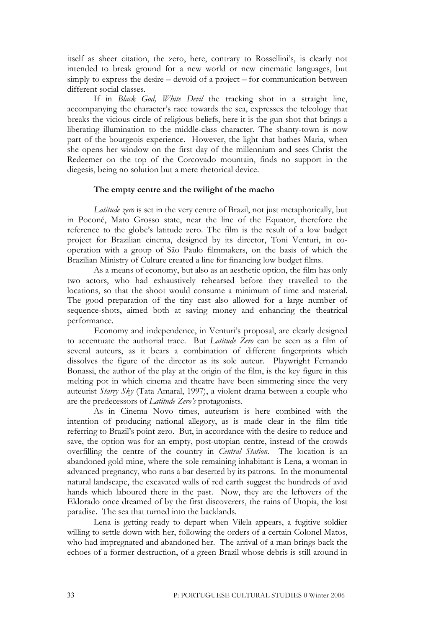itself as sheer citation, the zero, here, contrary to Rossellini's, is clearly not intended to break ground for a new world or new cinematic languages, but simply to express the desire – devoid of a project – for communication between different social classes.

If in *Black God, White Devil* the tracking shot in a straight line, accompanying the character's race towards the sea, expresses the teleology that breaks the vicious circle of religious beliefs, here it is the gun shot that brings a liberating illumination to the middle-class character. The shanty-town is now part of the bourgeois experience. However, the light that bathes Maria, when she opens her window on the first day of the millennium and sees Christ the Redeemer on the top of the Corcovado mountain, finds no support in the diegesis, being no solution but a mere rhetorical device.

## **The empty centre and the twilight of the macho**

*Latitude zero* is set in the very centre of Brazil, not just metaphorically, but in Poconé, Mato Grosso state, near the line of the Equator, therefore the reference to the globe's latitude zero. The film is the result of a low budget project for Brazilian cinema, designed by its director, Toni Venturi, in cooperation with a group of São Paulo filmmakers, on the basis of which the Brazilian Ministry of Culture created a line for financing low budget films.

As a means of economy, but also as an aesthetic option, the film has only two actors, who had exhaustively rehearsed before they travelled to the locations, so that the shoot would consume a minimum of time and material. The good preparation of the tiny cast also allowed for a large number of sequence-shots, aimed both at saving money and enhancing the theatrical performance.

Economy and independence, in Venturi's proposal, are clearly designed to accentuate the authorial trace. But *Latitude Zero* can be seen as a film of several auteurs, as it bears a combination of different fingerprints which dissolves the figure of the director as its sole auteur. Playwright Fernando Bonassi, the author of the play at the origin of the film, is the key figure in this melting pot in which cinema and theatre have been simmering since the very auteurist *Starry Sky* (Tata Amaral, 1997), a violent drama between a couple who are the predecessors of *Latitude Zero's* protagonists.

As in Cinema Novo times, auteurism is here combined with the intention of producing national allegory, as is made clear in the film title referring to Brazil's point zero. But, in accordance with the desire to reduce and save, the option was for an empty, post-utopian centre, instead of the crowds overfilling the centre of the country in *Central Station*. The location is an abandoned gold mine, where the sole remaining inhabitant is Lena, a woman in advanced pregnancy, who runs a bar deserted by its patrons. In the monumental natural landscape, the excavated walls of red earth suggest the hundreds of avid hands which laboured there in the past. Now, they are the leftovers of the Eldorado once dreamed of by the first discoverers, the ruins of Utopia, the lost paradise. The sea that turned into the backlands.

Lena is getting ready to depart when Vilela appears, a fugitive soldier willing to settle down with her, following the orders of a certain Colonel Matos, who had impregnated and abandoned her. The arrival of a man brings back the echoes of a former destruction, of a green Brazil whose debris is still around in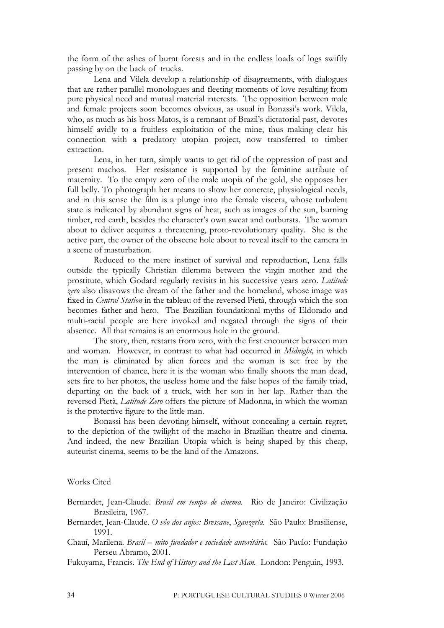the form of the ashes of burnt forests and in the endless loads of logs swiftly passing by on the back of trucks.

Lena and Vilela develop a relationship of disagreements, with dialogues that are rather parallel monologues and fleeting moments of love resulting from pure physical need and mutual material interests. The opposition between male and female projects soon becomes obvious, as usual in Bonassi's work. Vilela, who, as much as his boss Matos, is a remnant of Brazil's dictatorial past, devotes himself avidly to a fruitless exploitation of the mine, thus making clear his connection with a predatory utopian project, now transferred to timber extraction.

Lena, in her turn, simply wants to get rid of the oppression of past and present machos. Her resistance is supported by the feminine attribute of maternity. To the empty zero of the male utopia of the gold, she opposes her full belly. To photograph her means to show her concrete, physiological needs, and in this sense the film is a plunge into the female viscera, whose turbulent state is indicated by abundant signs of heat, such as images of the sun, burning timber, red earth, besides the character's own sweat and outbursts. The woman about to deliver acquires a threatening, proto-revolutionary quality. She is the active part, the owner of the obscene hole about to reveal itself to the camera in a scene of masturbation.

Reduced to the mere instinct of survival and reproduction, Lena falls outside the typically Christian dilemma between the virgin mother and the prostitute, which Godard regularly revisits in his successive years zero. *Latitude zero* also disavows the dream of the father and the homeland, whose image was fixed in *Central Station* in the tableau of the reversed Pietà, through which the son becomes father and hero. The Brazilian foundational myths of Eldorado and multi-racial people are here invoked and negated through the signs of their absence. All that remains is an enormous hole in the ground.

The story, then, restarts from zero, with the first encounter between man and woman. However, in contrast to what had occurred in *Midnight,* in which the man is eliminated by alien forces and the woman is set free by the intervention of chance, here it is the woman who finally shoots the man dead, sets fire to her photos, the useless home and the false hopes of the family triad, departing on the back of a truck, with her son in her lap. Rather than the reversed Pietà, *Latitude Zero* offers the picture of Madonna, in which the woman is the protective figure to the little man.

Bonassi has been devoting himself, without concealing a certain regret, to the depiction of the twilight of the macho in Brazilian theatre and cinema. And indeed, the new Brazilian Utopia which is being shaped by this cheap, auteurist cinema, seems to be the land of the Amazons.

## Works Cited

- Bernardet, Jean-Claude. *Brasil em tempo de cinema.* Rio de Janeiro: Civilização Brasileira, 1967.
- Bernardet, Jean-Claude. *O vôo dos anjos: Bressane*, *Sganzerla.* São Paulo: Brasiliense, 1991.
- Chauí, Marilena. *Brasil – mito fundador e sociedade autoritária.* São Paulo: Fundação Perseu Abramo, 2001.
- Fukuyama, Francis. *The End of History and the Last Man.* London: Penguin, 1993.